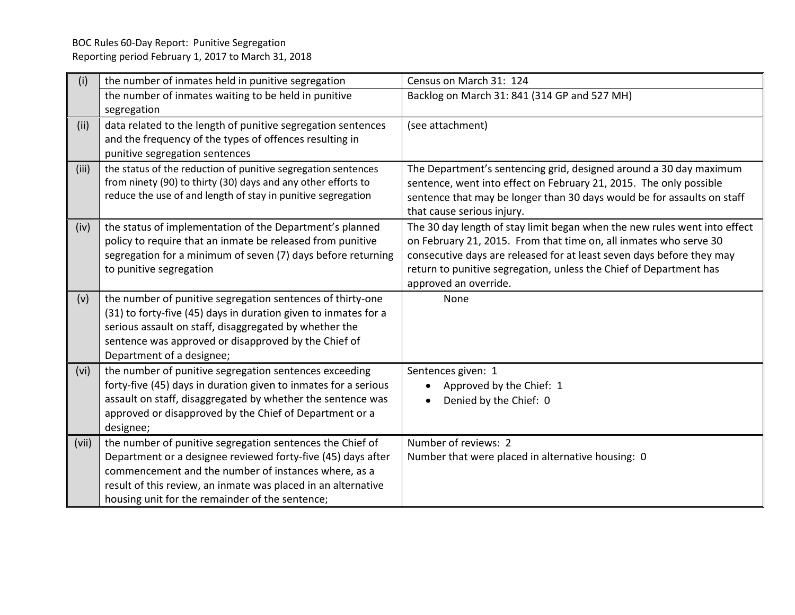| The Department's sentencing grid, designed around a 30 day maximum        |
|---------------------------------------------------------------------------|
| sentence, went into effect on February 21, 2015. The only possible        |
| sentence that may be longer than 30 days would be for assaults on staff   |
|                                                                           |
| The 30 day length of stay limit began when the new rules went into effect |
| on February 21, 2015. From that time on, all inmates who serve 30         |
| consecutive days are released for at least seven days before they may     |
| return to punitive segregation, unless the Chief of Department has        |
|                                                                           |
|                                                                           |
|                                                                           |
|                                                                           |
|                                                                           |
|                                                                           |
|                                                                           |
|                                                                           |
|                                                                           |
|                                                                           |
|                                                                           |
|                                                                           |
|                                                                           |
|                                                                           |
|                                                                           |
|                                                                           |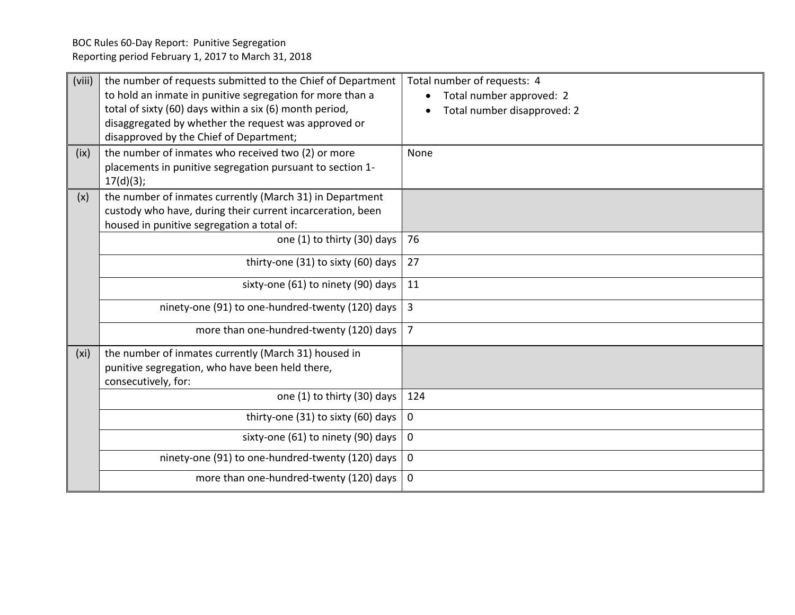| (viii)<br>(ix)    | the number of requests submitted to the Chief of Department<br>to hold an inmate in punitive segregation for more than a<br>total of sixty (60) days within a six (6) month period,<br>disaggregated by whether the request was approved or<br>disapproved by the Chief of Department;<br>the number of inmates who received two (2) or more<br>placements in punitive segregation pursuant to section 1- | Total number of requests: 4<br>Total number approved: 2<br>Total number disapproved: 2<br>None |
|-------------------|-----------------------------------------------------------------------------------------------------------------------------------------------------------------------------------------------------------------------------------------------------------------------------------------------------------------------------------------------------------------------------------------------------------|------------------------------------------------------------------------------------------------|
|                   | 17(d)(3);                                                                                                                                                                                                                                                                                                                                                                                                 |                                                                                                |
| (x)               | the number of inmates currently (March 31) in Department<br>custody who have, during their current incarceration, been<br>housed in punitive segregation a total of:                                                                                                                                                                                                                                      |                                                                                                |
|                   | one (1) to thirty (30) days                                                                                                                                                                                                                                                                                                                                                                               | 76                                                                                             |
|                   | thirty-one (31) to sixty (60) days                                                                                                                                                                                                                                                                                                                                                                        | 27                                                                                             |
|                   | sixty-one (61) to ninety (90) days                                                                                                                                                                                                                                                                                                                                                                        | 11                                                                                             |
|                   | ninety-one (91) to one-hundred-twenty (120) days                                                                                                                                                                                                                                                                                                                                                          | $\overline{3}$                                                                                 |
|                   | more than one-hundred-twenty (120) days $\vert$ 7                                                                                                                                                                                                                                                                                                                                                         |                                                                                                |
| (x <sub>i</sub> ) | the number of inmates currently (March 31) housed in<br>punitive segregation, who have been held there,<br>consecutively, for:                                                                                                                                                                                                                                                                            |                                                                                                |
|                   | one (1) to thirty (30) days                                                                                                                                                                                                                                                                                                                                                                               | 124                                                                                            |
|                   | thirty-one (31) to sixty (60) days                                                                                                                                                                                                                                                                                                                                                                        | $\mathbf 0$                                                                                    |
|                   | sixty-one (61) to ninety (90) days                                                                                                                                                                                                                                                                                                                                                                        | $\mathbf 0$                                                                                    |
|                   | ninety-one (91) to one-hundred-twenty (120) days                                                                                                                                                                                                                                                                                                                                                          | $\mathbf 0$                                                                                    |
|                   | more than one-hundred-twenty (120) days                                                                                                                                                                                                                                                                                                                                                                   | $\mathbf 0$                                                                                    |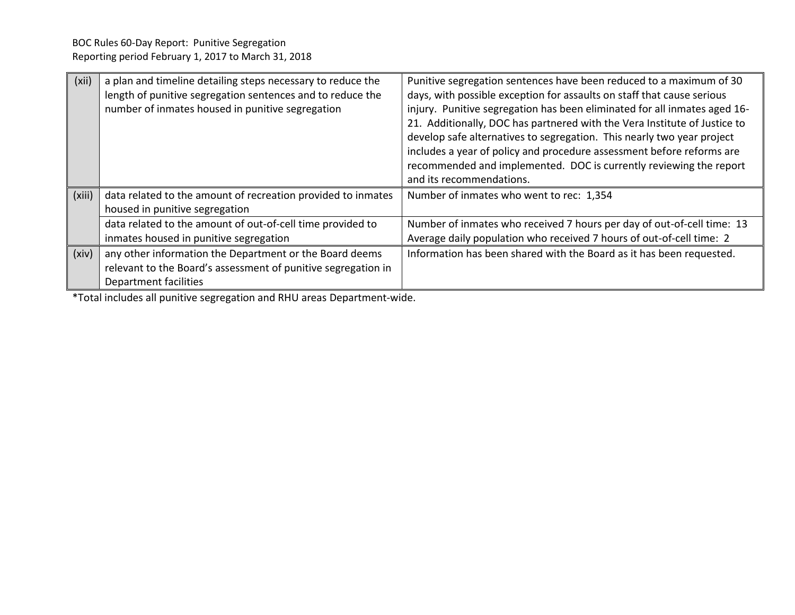| (xii)  | a plan and timeline detailing steps necessary to reduce the<br>length of punitive segregation sentences and to reduce the<br>number of inmates housed in punitive segregation | Punitive segregation sentences have been reduced to a maximum of 30<br>days, with possible exception for assaults on staff that cause serious<br>injury. Punitive segregation has been eliminated for all inmates aged 16-<br>21. Additionally, DOC has partnered with the Vera Institute of Justice to<br>develop safe alternatives to segregation. This nearly two year project<br>includes a year of policy and procedure assessment before reforms are<br>recommended and implemented. DOC is currently reviewing the report<br>and its recommendations. |
|--------|-------------------------------------------------------------------------------------------------------------------------------------------------------------------------------|--------------------------------------------------------------------------------------------------------------------------------------------------------------------------------------------------------------------------------------------------------------------------------------------------------------------------------------------------------------------------------------------------------------------------------------------------------------------------------------------------------------------------------------------------------------|
| (xiii) | data related to the amount of recreation provided to inmates<br>housed in punitive segregation                                                                                | Number of inmates who went to rec: 1,354                                                                                                                                                                                                                                                                                                                                                                                                                                                                                                                     |
|        | data related to the amount of out-of-cell time provided to<br>inmates housed in punitive segregation                                                                          | Number of inmates who received 7 hours per day of out-of-cell time: 13<br>Average daily population who received 7 hours of out-of-cell time: 2                                                                                                                                                                                                                                                                                                                                                                                                               |
| (xiv)  | any other information the Department or the Board deems<br>relevant to the Board's assessment of punitive segregation in<br>Department facilities                             | Information has been shared with the Board as it has been requested.                                                                                                                                                                                                                                                                                                                                                                                                                                                                                         |

\*Total includes all punitive segregation and RHU areas Department-wide.